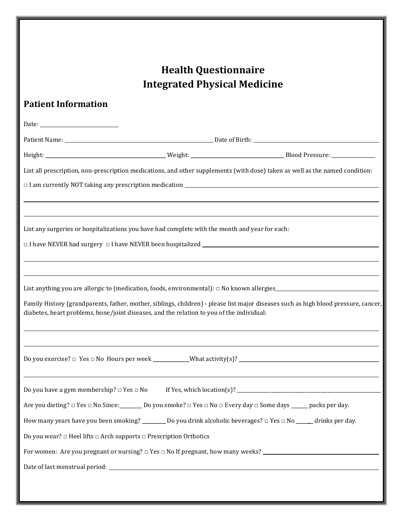## Health Questionnaire Integrated Physical Medicine

## Patient Information

|                                                                                                                                                                                                                                  | List all prescription, non-prescription medications, and other supplements (with dose) taken as well as the named condition:                                                                                                                                      |                                                                                                                                                                                                                                                                                   |  |  |  |  |  |  |
|----------------------------------------------------------------------------------------------------------------------------------------------------------------------------------------------------------------------------------|-------------------------------------------------------------------------------------------------------------------------------------------------------------------------------------------------------------------------------------------------------------------|-----------------------------------------------------------------------------------------------------------------------------------------------------------------------------------------------------------------------------------------------------------------------------------|--|--|--|--|--|--|
|                                                                                                                                                                                                                                  | $\Box$ I am currently NOT taking any prescription medication $\Box$ and $\Box$ and $\Box$ are contrary to $\Box$ and $\Box$ and $\Box$ and $\Box$ and $\Box$ and $\Box$ and $\Box$ and $\Box$ and $\Box$ and $\Box$ and $\Box$ and $\Box$ and $\Box$ and $\Box$ a |                                                                                                                                                                                                                                                                                   |  |  |  |  |  |  |
|                                                                                                                                                                                                                                  |                                                                                                                                                                                                                                                                   |                                                                                                                                                                                                                                                                                   |  |  |  |  |  |  |
|                                                                                                                                                                                                                                  |                                                                                                                                                                                                                                                                   |                                                                                                                                                                                                                                                                                   |  |  |  |  |  |  |
| List any surgeries or hospitalizations you have had complete with the month and year for each:                                                                                                                                   |                                                                                                                                                                                                                                                                   |                                                                                                                                                                                                                                                                                   |  |  |  |  |  |  |
|                                                                                                                                                                                                                                  |                                                                                                                                                                                                                                                                   |                                                                                                                                                                                                                                                                                   |  |  |  |  |  |  |
|                                                                                                                                                                                                                                  |                                                                                                                                                                                                                                                                   |                                                                                                                                                                                                                                                                                   |  |  |  |  |  |  |
|                                                                                                                                                                                                                                  |                                                                                                                                                                                                                                                                   |                                                                                                                                                                                                                                                                                   |  |  |  |  |  |  |
|                                                                                                                                                                                                                                  | List anything you are allergic to (medication, foods, environmental): $\Box$ No known allergies                                                                                                                                                                   |                                                                                                                                                                                                                                                                                   |  |  |  |  |  |  |
| Family History (grandparents, father, mother, siblings, children) - please list major diseases such as high blood pressure, cancer,<br>diabetes, heart problems, bone/joint diseases, and the relation to you of the individual: |                                                                                                                                                                                                                                                                   |                                                                                                                                                                                                                                                                                   |  |  |  |  |  |  |
|                                                                                                                                                                                                                                  |                                                                                                                                                                                                                                                                   |                                                                                                                                                                                                                                                                                   |  |  |  |  |  |  |
|                                                                                                                                                                                                                                  |                                                                                                                                                                                                                                                                   |                                                                                                                                                                                                                                                                                   |  |  |  |  |  |  |
|                                                                                                                                                                                                                                  |                                                                                                                                                                                                                                                                   |                                                                                                                                                                                                                                                                                   |  |  |  |  |  |  |
|                                                                                                                                                                                                                                  |                                                                                                                                                                                                                                                                   |                                                                                                                                                                                                                                                                                   |  |  |  |  |  |  |
| Do you have a gym membership? $\Box$ Yes $\Box$ No                                                                                                                                                                               |                                                                                                                                                                                                                                                                   | If Yes, which location(s)? $\frac{1}{2}$ [17] $\frac{1}{2}$ [17] $\frac{1}{2}$ [17] $\frac{1}{2}$ [17] $\frac{1}{2}$ [17] $\frac{1}{2}$ [17] $\frac{1}{2}$ [17] $\frac{1}{2}$ [17] $\frac{1}{2}$ [17] $\frac{1}{2}$ [17] $\frac{1}{2}$ [17] $\frac{1}{2}$ [17] $\frac{1}{2}$ [17] |  |  |  |  |  |  |
| Are you dieting? □ Yes □ No Since:                                                                                                                                                                                               |                                                                                                                                                                                                                                                                   | Do you smoke? $\Box$ Yes $\Box$ No $\Box$ Every day $\Box$ Some days ______ packs per day.                                                                                                                                                                                        |  |  |  |  |  |  |
|                                                                                                                                                                                                                                  | How many years have you been smoking? ________ Do you drink alcoholic beverages? $\Box$ Yes $\Box$ No _____ drinks per day.                                                                                                                                       |                                                                                                                                                                                                                                                                                   |  |  |  |  |  |  |
| Do you wear? $\Box$ Heel lifts $\Box$ Arch supports $\Box$ Prescription Orthotics                                                                                                                                                |                                                                                                                                                                                                                                                                   |                                                                                                                                                                                                                                                                                   |  |  |  |  |  |  |
|                                                                                                                                                                                                                                  |                                                                                                                                                                                                                                                                   |                                                                                                                                                                                                                                                                                   |  |  |  |  |  |  |
|                                                                                                                                                                                                                                  |                                                                                                                                                                                                                                                                   |                                                                                                                                                                                                                                                                                   |  |  |  |  |  |  |
|                                                                                                                                                                                                                                  |                                                                                                                                                                                                                                                                   |                                                                                                                                                                                                                                                                                   |  |  |  |  |  |  |
|                                                                                                                                                                                                                                  |                                                                                                                                                                                                                                                                   |                                                                                                                                                                                                                                                                                   |  |  |  |  |  |  |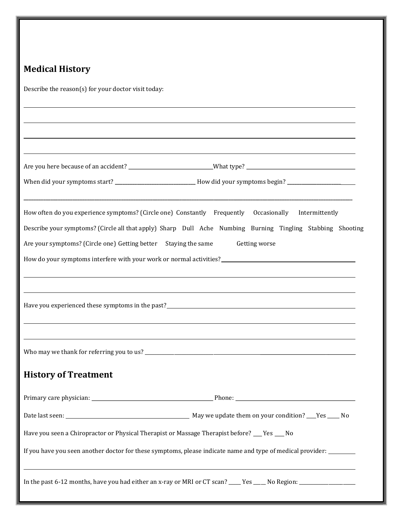## Medical History

Describe the reason(s) for your doctor visit today:

|                                                                                              | ,我们也不会有什么?""我们的人,我们也不会有什么?""我们的人,我们也不会有什么?""我们的人,我们也不会有什么?""我们的人,我们也不会有什么?""我们的人                                                                                                                   |
|----------------------------------------------------------------------------------------------|----------------------------------------------------------------------------------------------------------------------------------------------------------------------------------------------------|
|                                                                                              | Are you here because of an accident? ____________________________What type? __________________________________                                                                                     |
|                                                                                              | When did your symptoms start? ____________________________How did your symptoms begin? ___________________                                                                                         |
|                                                                                              | How often do you experience symptoms? (Circle one) Constantly Frequently Occasionally Intermittently                                                                                               |
|                                                                                              | Describe your symptoms? (Circle all that apply) Sharp Dull Ache Numbing Burning Tingling Stabbing Shooting                                                                                         |
| Are your symptoms? (Circle one) Getting better Staying the same                              | Getting worse                                                                                                                                                                                      |
|                                                                                              |                                                                                                                                                                                                    |
|                                                                                              |                                                                                                                                                                                                    |
|                                                                                              | ,我们也不会有什么。""我们的人,我们也不会有什么?""我们的人,我们也不会有什么?""我们的人,我们也不会有什么?""我们的人,我们也不会有什么?""我们的人                                                                                                                   |
|                                                                                              |                                                                                                                                                                                                    |
|                                                                                              |                                                                                                                                                                                                    |
|                                                                                              |                                                                                                                                                                                                    |
|                                                                                              |                                                                                                                                                                                                    |
| <b>History of Treatment</b>                                                                  |                                                                                                                                                                                                    |
|                                                                                              |                                                                                                                                                                                                    |
|                                                                                              |                                                                                                                                                                                                    |
| Have you seen a Chiropractor or Physical Therapist or Massage Therapist before? __ Yes __ No |                                                                                                                                                                                                    |
|                                                                                              | If you have you seen another doctor for these symptoms, please indicate name and type of medical provider:                                                                                         |
|                                                                                              | ,我们也不会有什么。""我们的人,我们也不会有什么?""我们的人,我们也不会有什么?""我们的人,我们也不会有什么?""我们的人,我们也不会有什么?""我们的人<br>In the past 6-12 months, have you had either an x-ray or MRI or CT scan? ____Yes _____No Region: _____________ |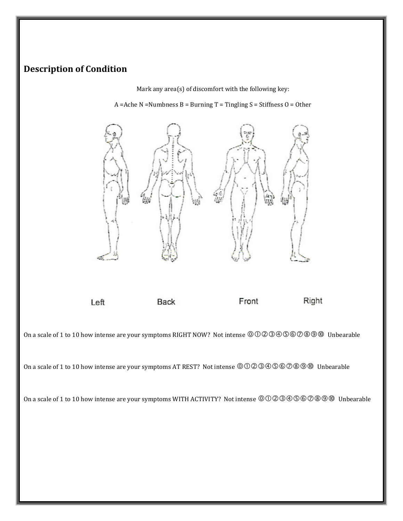## Description of Condition

Mark any area(s) of discomfort with the following key:

A =Ache N =Numbness B = Burning  $T$  = Tingling S = Stiffness O = Other



Left

**Back** 

Front

Right

On a scale of 1 to 10 how intense are your symptoms RIGHT NOW? Not intense  $\mathcal{O} \mathcal{O} \mathcal{O} \mathcal{O} \mathcal{O} \mathcal{O} \mathcal{O} \mathcal{O} \mathcal{O}$  Unbearable

On a scale of 1 to 10 how intense are your symptoms AT REST? Not intense Unbearable

On a scale of 1 to 10 how intense are your symptoms WITH ACTIVITY? Not intense  $\mathcal{O} \mathcal{O} \otimes \mathcal{O} \otimes \mathcal{O} \otimes \mathcal{O}$  Unbearable